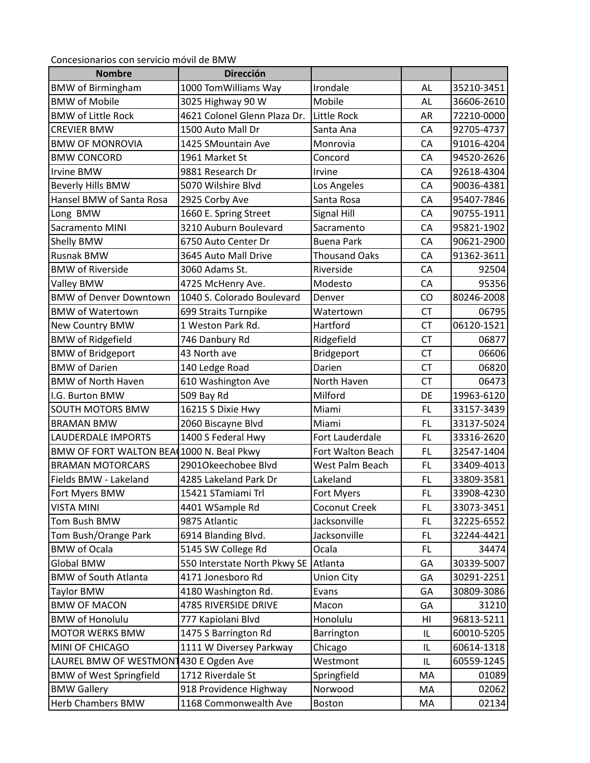Concesionarios con servicio móvil de BMW

| <b>Nombre</b>                            | <b>Dirección</b>             |                      |           |            |
|------------------------------------------|------------------------------|----------------------|-----------|------------|
| <b>BMW</b> of Birmingham                 | 1000 TomWilliams Way         | Irondale             | AL        | 35210-3451 |
| <b>BMW of Mobile</b>                     | 3025 Highway 90 W            | Mobile               | AL        | 36606-2610 |
| <b>BMW of Little Rock</b>                | 4621 Colonel Glenn Plaza Dr. | <b>Little Rock</b>   | AR        | 72210-0000 |
| <b>CREVIER BMW</b>                       | 1500 Auto Mall Dr            | Santa Ana            | CA        | 92705-4737 |
| <b>BMW OF MONROVIA</b>                   | 1425 SMountain Ave           | Monrovia             | CA        | 91016-4204 |
| <b>BMW CONCORD</b>                       | 1961 Market St               | Concord              | CA        | 94520-2626 |
| <b>Irvine BMW</b>                        | 9881 Research Dr             | Irvine               | CA        | 92618-4304 |
| Beverly Hills BMW                        | 5070 Wilshire Blvd           | Los Angeles          | CA        | 90036-4381 |
| Hansel BMW of Santa Rosa                 | 2925 Corby Ave               | Santa Rosa           | CA        | 95407-7846 |
| Long BMW                                 | 1660 E. Spring Street        | Signal Hill          | CA        | 90755-1911 |
| Sacramento MINI                          | 3210 Auburn Boulevard        | Sacramento           | CA        | 95821-1902 |
| Shelly BMW                               | 6750 Auto Center Dr          | <b>Buena Park</b>    | CA        | 90621-2900 |
| <b>Rusnak BMW</b>                        | 3645 Auto Mall Drive         | <b>Thousand Oaks</b> | CA        | 91362-3611 |
| <b>BMW of Riverside</b>                  | 3060 Adams St.               | Riverside            | CA        | 92504      |
| Valley BMW                               | 4725 McHenry Ave.            | Modesto              | CA        | 95356      |
| <b>BMW of Denver Downtown</b>            | 1040 S. Colorado Boulevard   | Denver               | CO        | 80246-2008 |
| <b>BMW of Watertown</b>                  | 699 Straits Turnpike         | Watertown            | <b>CT</b> | 06795      |
| New Country BMW                          | 1 Weston Park Rd.            | Hartford             | <b>CT</b> | 06120-1521 |
| <b>BMW of Ridgefield</b>                 | 746 Danbury Rd               | Ridgefield           | <b>CT</b> | 06877      |
| <b>BMW of Bridgeport</b>                 | 43 North ave                 | Bridgeport           | <b>CT</b> | 06606      |
| <b>BMW</b> of Darien                     | 140 Ledge Road               | Darien               | <b>CT</b> | 06820      |
| <b>BMW of North Haven</b>                | 610 Washington Ave           | North Haven          | <b>CT</b> | 06473      |
| I.G. Burton BMW                          | 509 Bay Rd                   | Milford              | DE        | 19963-6120 |
| <b>SOUTH MOTORS BMW</b>                  | 16215 S Dixie Hwy            | Miami                | FL        | 33157-3439 |
| <b>BRAMAN BMW</b>                        | 2060 Biscayne Blvd           | Miami                | FL        | 33137-5024 |
| <b>LAUDERDALE IMPORTS</b>                | 1400 S Federal Hwy           | Fort Lauderdale      | <b>FL</b> | 33316-2620 |
| BMW OF FORT WALTON BEA 1000 N. Beal Pkwy |                              | Fort Walton Beach    | <b>FL</b> | 32547-1404 |
| <b>BRAMAN MOTORCARS</b>                  | 2901Okeechobee Blvd          | West Palm Beach      | FL        | 33409-4013 |
| Fields BMW - Lakeland                    | 4285 Lakeland Park Dr        | Lakeland             | <b>FL</b> | 33809-3581 |
| Fort Myers BMW                           | 15421 STamiami Trl           | <b>Fort Myers</b>    | FL        | 33908-4230 |
| <b>VISTA MINI</b>                        | 4401 WSample Rd              | Coconut Creek        | FL.       | 33073-3451 |
| Tom Bush BMW                             | 9875 Atlantic                | Jacksonville         | FL.       | 32225-6552 |
| Tom Bush/Orange Park                     | 6914 Blanding Blvd.          | Jacksonville         | FL.       | 32244-4421 |
| <b>BMW</b> of Ocala                      | 5145 SW College Rd           | Ocala                | FL        | 34474      |
| <b>Global BMW</b>                        | 550 Interstate North Pkwy SE | Atlanta              | GA        | 30339-5007 |
| <b>BMW of South Atlanta</b>              | 4171 Jonesboro Rd            | <b>Union City</b>    | GA        | 30291-2251 |
| <b>Taylor BMW</b>                        | 4180 Washington Rd.          | Evans                | GA        | 30809-3086 |
| <b>BMW OF MACON</b>                      | 4785 RIVERSIDE DRIVE         | Macon                | GA        | 31210      |
| <b>BMW of Honolulu</b>                   | 777 Kapiolani Blvd           | Honolulu             | HI        | 96813-5211 |
| <b>MOTOR WERKS BMW</b>                   | 1475 S Barrington Rd         | Barrington           | IL        | 60010-5205 |
| MINI OF CHICAGO                          | 1111 W Diversey Parkway      | Chicago              | IL        | 60614-1318 |
| LAUREL BMW OF WESTMON1430 E Ogden Ave    |                              | Westmont             | IL        | 60559-1245 |
| <b>BMW of West Springfield</b>           | 1712 Riverdale St            | Springfield          | MA        | 01089      |
| <b>BMW Gallery</b>                       | 918 Providence Highway       | Norwood              | MA        | 02062      |
| <b>Herb Chambers BMW</b>                 | 1168 Commonwealth Ave        | <b>Boston</b>        | MA        | 02134      |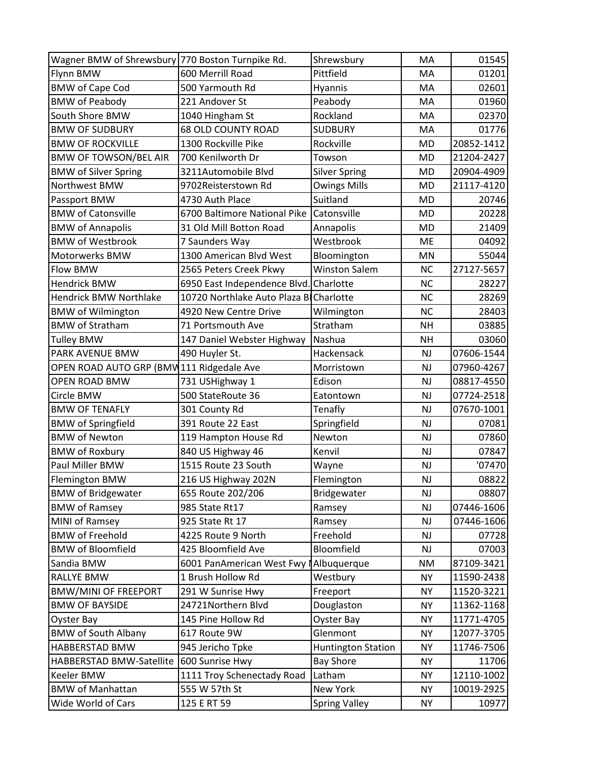| Wagner BMW of Shrewsbury 770 Boston Turnpike Rd. |                              | Shrewsbury                | MA        | 01545      |
|--------------------------------------------------|------------------------------|---------------------------|-----------|------------|
| Flynn BMW                                        | 600 Merrill Road             | Pittfield                 | MA        | 01201      |
| <b>BMW of Cape Cod</b>                           | 500 Yarmouth Rd              | Hyannis                   | MA        | 02601      |
| <b>BMW of Peabody</b>                            | 221 Andover St               | Peabody                   | MA        | 01960      |
| South Shore BMW                                  | 1040 Hingham St              | Rockland                  | MA        | 02370      |
| <b>BMW OF SUDBURY</b>                            | <b>68 OLD COUNTY ROAD</b>    | <b>SUDBURY</b>            | MA        | 01776      |
| <b>BMW OF ROCKVILLE</b>                          | 1300 Rockville Pike          | Rockville                 | <b>MD</b> | 20852-1412 |
| <b>BMW OF TOWSON/BEL AIR</b>                     | 700 Kenilworth Dr            | Towson                    | <b>MD</b> | 21204-2427 |
| <b>BMW of Silver Spring</b>                      | 3211Automobile Blvd          | <b>Silver Spring</b>      | <b>MD</b> | 20904-4909 |
| Northwest BMW                                    | 9702Reisterstown Rd          | <b>Owings Mills</b>       | <b>MD</b> | 21117-4120 |
| Passport BMW                                     | 4730 Auth Place              | Suitland                  | MD        | 20746      |
| <b>BMW of Catonsville</b>                        | 6700 Baltimore National Pike | Catonsville               | <b>MD</b> | 20228      |
| <b>BMW of Annapolis</b>                          | 31 Old Mill Botton Road      | Annapolis                 | <b>MD</b> | 21409      |
| <b>BMW of Westbrook</b>                          | 7 Saunders Way               | Westbrook                 | <b>ME</b> | 04092      |
| Motorwerks BMW                                   | 1300 American Blvd West      | Bloomington               | MN        | 55044      |
| Flow BMW                                         | 2565 Peters Creek Pkwy       | <b>Winston Salem</b>      | <b>NC</b> | 27127-5657 |
| <b>Hendrick BMW</b>                              | 6950 East Independence Blvd  | Charlotte                 | <b>NC</b> | 28227      |
| <b>Hendrick BMW Northlake</b>                    | 10720 Northlake Auto Plaza B | Charlotte                 | <b>NC</b> | 28269      |
| <b>BMW of Wilmington</b>                         | 4920 New Centre Drive        | Wilmington                | <b>NC</b> | 28403      |
| <b>BMW of Stratham</b>                           | 71 Portsmouth Ave            | Stratham                  | <b>NH</b> | 03885      |
| <b>Tulley BMW</b>                                | 147 Daniel Webster Highway   | Nashua                    | <b>NH</b> | 03060      |
| PARK AVENUE BMW                                  | 490 Huyler St.               | Hackensack                | NJ        | 07606-1544 |
| OPEN ROAD AUTO GRP (BMW111 Ridgedale Ave         |                              | Morristown                | NJ        | 07960-4267 |
| OPEN ROAD BMW                                    | 731 USHighway 1              | Edison                    | NJ        | 08817-4550 |
| Circle BMW                                       | 500 StateRoute 36            | Eatontown                 | NJ        | 07724-2518 |
| <b>BMW OF TENAFLY</b>                            | 301 County Rd                | Tenafly                   | NJ        | 07670-1001 |
| <b>BMW</b> of Springfield                        | 391 Route 22 East            | Springfield               | NJ        | 07081      |
| <b>BMW of Newton</b>                             | 119 Hampton House Rd         | Newton                    | NJ        | 07860      |
| <b>BMW of Roxbury</b>                            | 840 US Highway 46            | Kenvil                    | NJ        | 07847      |
| Paul Miller BMW                                  | 1515 Route 23 South          | Wayne                     | NJ        | '07470     |
| <b>Flemington BMW</b>                            | 216 US Highway 202N          | Flemington                | NJ        | 08822      |
| <b>BMW of Bridgewater</b>                        | 655 Route 202/206            | Bridgewater               | NJ        | 08807      |
| <b>BMW of Ramsey</b>                             | 985 State Rt17               | Ramsey                    | NJ        | 07446-1606 |
| MINI of Ramsey                                   | 925 State Rt 17              | Ramsey                    | NJ        | 07446-1606 |
| <b>BMW of Freehold</b>                           | 4225 Route 9 North           | Freehold                  | NJ        | 07728      |
| <b>BMW of Bloomfield</b>                         | 425 Bloomfield Ave           | Bloomfield                | NJ        | 07003      |
| Sandia BMW                                       | 6001 PanAmerican West Fwy    | Albuquerque               | NM        | 87109-3421 |
| <b>RALLYE BMW</b>                                | 1 Brush Hollow Rd            | Westbury                  | <b>NY</b> | 11590-2438 |
| <b>BMW/MINI OF FREEPORT</b>                      | 291 W Sunrise Hwy            | Freeport                  | <b>NY</b> | 11520-3221 |
| <b>BMW OF BAYSIDE</b>                            | 24721Northern Blvd           | Douglaston                | <b>NY</b> | 11362-1168 |
| Oyster Bay                                       | 145 Pine Hollow Rd           | Oyster Bay                | <b>NY</b> | 11771-4705 |
| <b>BMW of South Albany</b>                       | 617 Route 9W                 | Glenmont                  | <b>NY</b> | 12077-3705 |
| HABBERSTAD BMW                                   | 945 Jericho Tpke             | <b>Huntington Station</b> | <b>NY</b> | 11746-7506 |
| HABBERSTAD BMW-Satellite                         | 600 Sunrise Hwy              | <b>Bay Shore</b>          | <b>NY</b> | 11706      |
| Keeler BMW                                       | 1111 Troy Schenectady Road   | Latham                    | <b>NY</b> | 12110-1002 |
| <b>BMW of Manhattan</b>                          | 555 W 57th St                | New York                  | <b>NY</b> | 10019-2925 |
| Wide World of Cars                               | 125 E RT 59                  | <b>Spring Valley</b>      | <b>NY</b> | 10977      |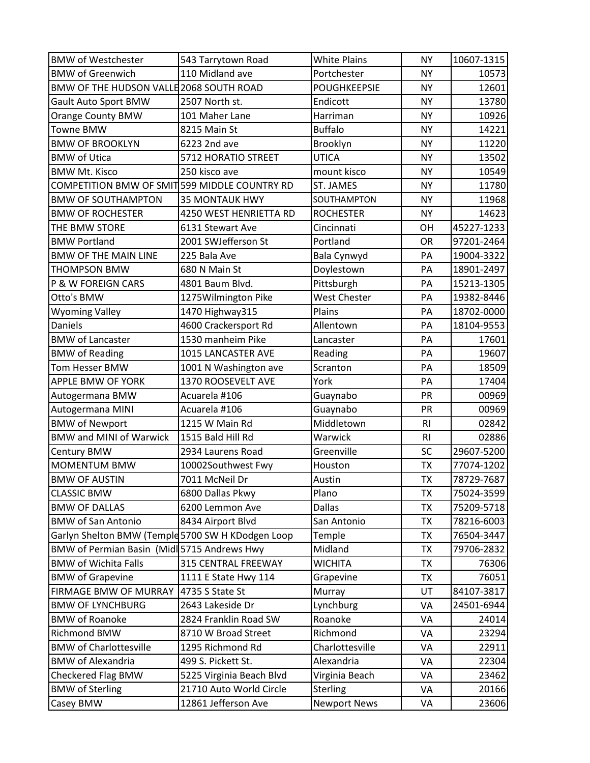| <b>BMW of Westchester</b>                         | 543 Tarrytown Road       | <b>White Plains</b> | <b>NY</b>      | 10607-1315 |
|---------------------------------------------------|--------------------------|---------------------|----------------|------------|
| <b>BMW of Greenwich</b>                           | 110 Midland ave          | Portchester         | <b>NY</b>      | 10573      |
| BMW OF THE HUDSON VALLE 2068 SOUTH ROAD           |                          | <b>POUGHKEEPSIE</b> | <b>NY</b>      | 12601      |
| Gault Auto Sport BMW                              | 2507 North st.           | Endicott            | <b>NY</b>      | 13780      |
| Orange County BMW                                 | 101 Maher Lane           | Harriman            | <b>NY</b>      | 10926      |
| <b>Towne BMW</b>                                  | 8215 Main St             | <b>Buffalo</b>      | <b>NY</b>      | 14221      |
| <b>BMW OF BROOKLYN</b>                            | 6223 2nd ave             | Brooklyn            | <b>NY</b>      | 11220      |
| <b>BMW of Utica</b>                               | 5712 HORATIO STREET      | <b>UTICA</b>        | <b>NY</b>      | 13502      |
| <b>BMW Mt. Kisco</b>                              | 250 kisco ave            | mount kisco         | <b>NY</b>      | 10549      |
| COMPETITION BMW OF SMIT 599 MIDDLE COUNTRY RD     |                          | ST. JAMES           | <b>NY</b>      | 11780      |
| <b>BMW OF SOUTHAMPTON</b>                         | <b>35 MONTAUK HWY</b>    | SOUTHAMPTON         | <b>NY</b>      | 11968      |
| <b>BMW OF ROCHESTER</b>                           | 4250 WEST HENRIETTA RD   | <b>ROCHESTER</b>    | <b>NY</b>      | 14623      |
| THE BMW STORE                                     | 6131 Stewart Ave         | Cincinnati          | OH             | 45227-1233 |
| <b>BMW Portland</b>                               | 2001 SWJefferson St      | Portland            | <b>OR</b>      | 97201-2464 |
| <b>BMW OF THE MAIN LINE</b>                       | 225 Bala Ave             | Bala Cynwyd         | PA             | 19004-3322 |
| <b>THOMPSON BMW</b>                               | 680 N Main St            | Doylestown          | PA             | 18901-2497 |
| P & W FOREIGN CARS                                | 4801 Baum Blvd.          | Pittsburgh          | PA             | 15213-1305 |
| Otto's BMW                                        | 1275Wilmington Pike      | West Chester        | PA             | 19382-8446 |
| <b>Wyoming Valley</b>                             | 1470 Highway315          | Plains              | PA             | 18702-0000 |
| Daniels                                           | 4600 Crackersport Rd     | Allentown           | PA             | 18104-9553 |
| <b>BMW of Lancaster</b>                           | 1530 manheim Pike        | Lancaster           | PA             | 17601      |
| <b>BMW of Reading</b>                             | 1015 LANCASTER AVE       | Reading             | PA             | 19607      |
| Tom Hesser BMW                                    | 1001 N Washington ave    | Scranton            | PA             | 18509      |
| APPLE BMW OF YORK                                 | 1370 ROOSEVELT AVE       | York                | PA             | 17404      |
| Autogermana BMW                                   | Acuarela #106            | Guaynabo            | PR             | 00969      |
| Autogermana MINI                                  | Acuarela #106            | Guaynabo            | PR             | 00969      |
| <b>BMW of Newport</b>                             | 1215 W Main Rd           | Middletown          | R <sub>l</sub> | 02842      |
| <b>BMW and MINI of Warwick</b>                    | 1515 Bald Hill Rd        | Warwick             | R <sub>l</sub> | 02886      |
| Century BMW                                       | 2934 Laurens Road        | Greenville          | <b>SC</b>      | 29607-5200 |
| <b>MOMENTUM BMW</b>                               | 10002Southwest Fwy       | Houston             | <b>TX</b>      | 77074-1202 |
| <b>BMW OF AUSTIN</b>                              | 7011 McNeil Dr           | Austin              | <b>TX</b>      | 78729-7687 |
| <b>CLASSIC BMW</b>                                | 6800 Dallas Pkwy         | Plano               | <b>TX</b>      | 75024-3599 |
| <b>BMW OF DALLAS</b>                              | 6200 Lemmon Ave          | <b>Dallas</b>       | <b>TX</b>      | 75209-5718 |
| <b>BMW of San Antonio</b>                         | 8434 Airport Blvd        | San Antonio         | <b>TX</b>      | 78216-6003 |
| Garlyn Shelton BMW (Temple 5700 SW H KDodgen Loop |                          | Temple              | <b>TX</b>      | 76504-3447 |
| BMW of Permian Basin (Midl 5715 Andrews Hwy       |                          | Midland             | TX             | 79706-2832 |
| <b>BMW of Wichita Falls</b>                       | 315 CENTRAL FREEWAY      | <b>WICHITA</b>      | <b>TX</b>      | 76306      |
| <b>BMW of Grapevine</b>                           | 1111 E State Hwy 114     | Grapevine           | <b>TX</b>      | 76051      |
| FIRMAGE BMW OF MURRAY                             | 4735 S State St          | Murray              | UT             | 84107-3817 |
| <b>BMW OF LYNCHBURG</b>                           | 2643 Lakeside Dr         | Lynchburg           | VA             | 24501-6944 |
| <b>BMW of Roanoke</b>                             | 2824 Franklin Road SW    | Roanoke             | VA             | 24014      |
| Richmond BMW                                      | 8710 W Broad Street      | Richmond            | VA             | 23294      |
| <b>BMW of Charlottesville</b>                     | 1295 Richmond Rd         | Charlottesville     | VA             | 22911      |
| <b>BMW</b> of Alexandria                          | 499 S. Pickett St.       | Alexandria          | VA             | 22304      |
| Checkered Flag BMW                                | 5225 Virginia Beach Blvd | Virginia Beach      | VA             | 23462      |
| <b>BMW of Sterling</b>                            | 21710 Auto World Circle  | Sterling            | VA             | 20166      |
| Casey BMW                                         | 12861 Jefferson Ave      | <b>Newport News</b> | VA             | 23606      |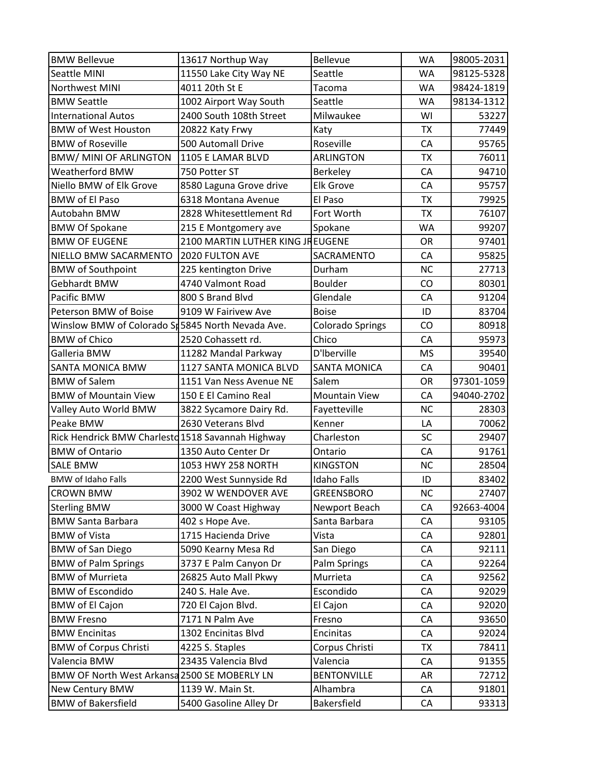| <b>BMW Bellevue</b>                               | 13617 Northup Way                | Bellevue                | <b>WA</b> | 98005-2031 |
|---------------------------------------------------|----------------------------------|-------------------------|-----------|------------|
| Seattle MINI                                      | 11550 Lake City Way NE           | Seattle                 | WA        | 98125-5328 |
| <b>Northwest MINI</b>                             | 4011 20th St E                   | Tacoma                  | <b>WA</b> | 98424-1819 |
| <b>BMW Seattle</b>                                | 1002 Airport Way South           | Seattle                 | <b>WA</b> | 98134-1312 |
| <b>International Autos</b>                        | 2400 South 108th Street          | Milwaukee               | WI        | 53227      |
| <b>BMW of West Houston</b>                        | 20822 Katy Frwy                  | Katy                    | <b>TX</b> | 77449      |
| <b>BMW of Roseville</b>                           | 500 Automall Drive               | Roseville               | CA        | 95765      |
| <b>BMW/ MINI OF ARLINGTON</b>                     | 1105 E LAMAR BLVD                | <b>ARLINGTON</b>        | <b>TX</b> | 76011      |
| Weatherford BMW                                   | 750 Potter ST                    | Berkeley                | CA        | 94710      |
| Niello BMW of Elk Grove                           | 8580 Laguna Grove drive          | <b>Elk Grove</b>        | CA        | 95757      |
| <b>BMW of El Paso</b>                             | 6318 Montana Avenue              | El Paso                 | <b>TX</b> | 79925      |
| Autobahn BMW                                      | 2828 Whitesettlement Rd          | Fort Worth              | <b>TX</b> | 76107      |
| <b>BMW Of Spokane</b>                             | 215 E Montgomery ave             | Spokane                 | <b>WA</b> | 99207      |
| <b>BMW OF EUGENE</b>                              | 2100 MARTIN LUTHER KING JREUGENE |                         | <b>OR</b> | 97401      |
| NIELLO BMW SACARMENTO                             | 2020 FULTON AVE                  | SACRAMENTO              | CA        | 95825      |
| <b>BMW</b> of Southpoint                          | 225 kentington Drive             | Durham                  | <b>NC</b> | 27713      |
| Gebhardt BMW                                      | 4740 Valmont Road                | Boulder                 | CO        | 80301      |
| Pacific BMW                                       | 800 S Brand Blvd                 | Glendale                | CA        | 91204      |
| Peterson BMW of Boise                             | 9109 W Fairivew Ave              | <b>Boise</b>            | ID        | 83704      |
| Winslow BMW of Colorado St 5845 North Nevada Ave. |                                  | <b>Colorado Springs</b> | CO        | 80918      |
| <b>BMW of Chico</b>                               | 2520 Cohassett rd.               | Chico                   | CA        | 95973      |
| Galleria BMW                                      | 11282 Mandal Parkway             | D'Iberville             | <b>MS</b> | 39540      |
| SANTA MONICA BMW                                  | 1127 SANTA MONICA BLVD           | <b>SANTA MONICA</b>     | CA        | 90401      |
| <b>BMW</b> of Salem                               | 1151 Van Ness Avenue NE          | Salem                   | OR        | 97301-1059 |
| <b>BMW of Mountain View</b>                       | 150 E El Camino Real             | <b>Mountain View</b>    | CA        | 94040-2702 |
| Valley Auto World BMW                             | 3822 Sycamore Dairy Rd.          | Fayetteville            | <b>NC</b> | 28303      |
| Peake BMW                                         | 2630 Veterans Blvd               | Kenner                  | LA        | 70062      |
| Rick Hendrick BMW Charlestd 1518 Savannah Highway |                                  | Charleston              | SC        | 29407      |
| <b>BMW of Ontario</b>                             | 1350 Auto Center Dr              | Ontario                 | CA        | 91761      |
| <b>SALE BMW</b>                                   | 1053 HWY 258 NORTH               | <b>KINGSTON</b>         | <b>NC</b> | 28504      |
| <b>BMW of Idaho Falls</b>                         | 2200 West Sunnyside Rd           | <b>Idaho Falls</b>      | ID        | 83402      |
| <b>CROWN BMW</b>                                  | 3902 W WENDOVER AVE              | <b>GREENSBORO</b>       | <b>NC</b> | 27407      |
| <b>Sterling BMW</b>                               | 3000 W Coast Highway             | Newport Beach           | CA        | 92663-4004 |
| <b>BMW Santa Barbara</b>                          | 402 s Hope Ave.                  | Santa Barbara           | CA        | 93105      |
| <b>BMW of Vista</b>                               | 1715 Hacienda Drive              | Vista                   | CA        | 92801      |
| <b>BMW of San Diego</b>                           | 5090 Kearny Mesa Rd              | San Diego               | CA        | 92111      |
| <b>BMW of Palm Springs</b>                        | 3737 E Palm Canyon Dr            | Palm Springs            | CA        | 92264      |
| <b>BMW of Murrieta</b>                            | 26825 Auto Mall Pkwy             | Murrieta                | CA        | 92562      |
| <b>BMW of Escondido</b>                           | 240 S. Hale Ave.                 | Escondido               | CA        | 92029      |
| <b>BMW of El Cajon</b>                            | 720 El Cajon Blvd.               | El Cajon                | CA        | 92020      |
| <b>BMW Fresno</b>                                 | 7171 N Palm Ave                  | Fresno                  | CA        | 93650      |
| <b>BMW Encinitas</b>                              | 1302 Encinitas Blvd              | Encinitas               | CA        | 92024      |
| <b>BMW of Corpus Christi</b>                      | 4225 S. Staples                  | Corpus Christi          | <b>TX</b> | 78411      |
| Valencia BMW                                      | 23435 Valencia Blvd              | Valencia                | CA        | 91355      |
| BMW OF North West Arkansa 2500 SE MOBERLY LN      |                                  | <b>BENTONVILLE</b>      | <b>AR</b> | 72712      |
| New Century BMW                                   | 1139 W. Main St.                 | Alhambra                | CA        | 91801      |
| <b>BMW of Bakersfield</b>                         | 5400 Gasoline Alley Dr           | Bakersfield             | CA        | 93313      |